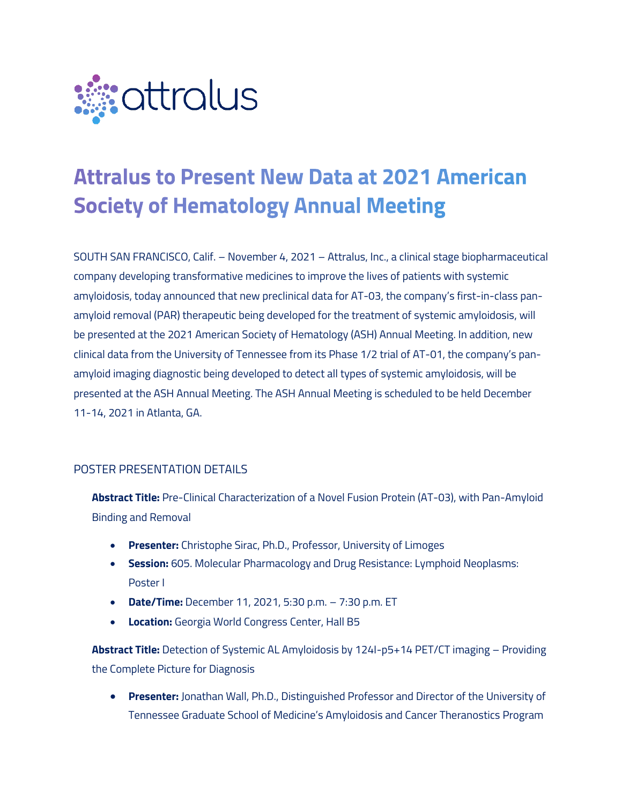

# **Attralus to Present New Data at 2021 American Society of Hematology Annual Meeting**

SOUTH SAN FRANCISCO, Calif. – November 4, 2021 – Attralus, Inc., a clinical stage biopharmaceutical company developing transformative medicines to improve the lives of patients with systemic amyloidosis, today announced that new preclinical data for AT-03, the company's first-in-class panamyloid removal (PAR) therapeutic being developed for the treatment of systemic amyloidosis, will be presented at the 2021 American Society of Hematology (ASH) Annual Meeting. In addition, new clinical data from the University of Tennessee from its Phase 1/2 trial of AT-01, the company's panamyloid imaging diagnostic being developed to detect all types of systemic amyloidosis, will be presented at the ASH Annual Meeting. The ASH Annual Meeting is scheduled to be held December 11-14, 2021 in Atlanta, GA.

# POSTER PRESENTATION DETAILS

**Abstract Title:** Pre-Clinical Characterization of a Novel Fusion Protein (AT-03), with Pan-Amyloid Binding and Removal

- **Presenter:** Christophe Sirac, Ph.D., Professor, University of Limoges
- **Session:** 605. Molecular Pharmacology and Drug Resistance: Lymphoid Neoplasms: Poster I
- **Date/Time:** December 11, 2021, 5:30 p.m. 7:30 p.m. ET
- **Location:** Georgia World Congress Center, Hall B5

**Abstract Title:** Detection of Systemic AL Amyloidosis by 124I-p5+14 PET/CT imaging – Providing the Complete Picture for Diagnosis

• **Presenter:** Jonathan Wall, Ph.D., Distinguished Professor and Director of the University of Tennessee Graduate School of Medicine's Amyloidosis and Cancer Theranostics Program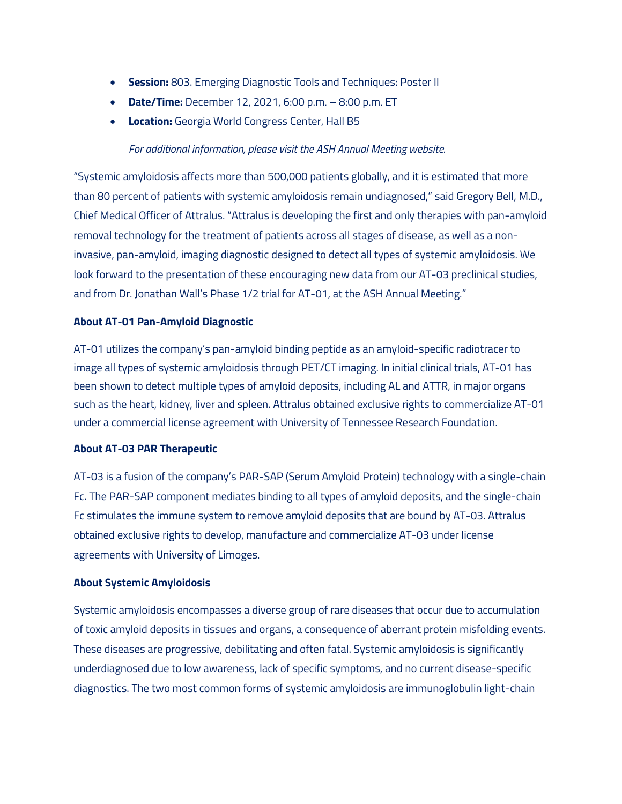- **Session:** 803. Emerging Diagnostic Tools and Techniques: Poster II
- **Date/Time:** December 12, 2021, 6:00 p.m. 8:00 p.m. ET
- **Location:** Georgia World Congress Center, Hall B5

# *For additional information, please visit the ASH Annual Meeting website.*

"Systemic amyloidosis affects more than 500,000 patients globally, and it is estimated that more than 80 percent of patients with systemic amyloidosis remain undiagnosed," said Gregory Bell, M.D., Chief Medical Officer of Attralus. "Attralus is developing the first and only therapies with pan-amyloid removal technology for the treatment of patients across all stages of disease, as well as a noninvasive, pan-amyloid, imaging diagnostic designed to detect all types of systemic amyloidosis. We look forward to the presentation of these encouraging new data from our AT-03 preclinical studies, and from Dr. Jonathan Wall's Phase 1/2 trial for AT-01, at the ASH Annual Meeting."

## **About AT-01 Pan-Amyloid Diagnostic**

AT-01 utilizes the company's pan-amyloid binding peptide as an amyloid-specific radiotracer to image all types of systemic amyloidosis through PET/CT imaging. In initial clinical trials, AT-01 has been shown to detect multiple types of amyloid deposits, including AL and ATTR, in major organs such as the heart, kidney, liver and spleen. Attralus obtained exclusive rights to commercialize AT-01 under a commercial license agreement with University of Tennessee Research Foundation.

#### **About AT-03 PAR Therapeutic**

AT-03 is a fusion of the company's PAR-SAP (Serum Amyloid Protein) technology with a single-chain Fc. The PAR-SAP component mediates binding to all types of amyloid deposits, and the single-chain Fc stimulates the immune system to remove amyloid deposits that are bound by AT-03. Attralus obtained exclusive rights to develop, manufacture and commercialize AT-03 under license agreements with University of Limoges.

#### **About Systemic Amyloidosis**

Systemic amyloidosis encompasses a diverse group of rare diseases that occur due to accumulation of toxic amyloid deposits in tissues and organs, a consequence of aberrant protein misfolding events. These diseases are progressive, debilitating and often fatal. Systemic amyloidosis is significantly underdiagnosed due to low awareness, lack of specific symptoms, and no current disease-specific diagnostics. The two most common forms of systemic amyloidosis are immunoglobulin light-chain